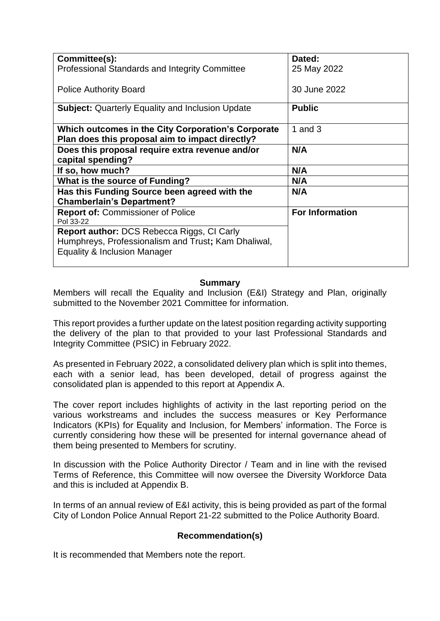| Committee(s):                                                                                                                            | Dated:                 |  |
|------------------------------------------------------------------------------------------------------------------------------------------|------------------------|--|
| Professional Standards and Integrity Committee                                                                                           | 25 May 2022            |  |
| <b>Police Authority Board</b>                                                                                                            | 30 June 2022           |  |
| <b>Subject:</b> Quarterly Equality and Inclusion Update                                                                                  | <b>Public</b>          |  |
| Which outcomes in the City Corporation's Corporate<br>Plan does this proposal aim to impact directly?                                    | 1 and $3$              |  |
| Does this proposal require extra revenue and/or<br>capital spending?                                                                     | N/A                    |  |
| If so, how much?                                                                                                                         | N/A                    |  |
| <b>What is the source of Funding?</b>                                                                                                    | N/A                    |  |
| Has this Funding Source been agreed with the<br><b>Chamberlain's Department?</b>                                                         | N/A                    |  |
| <b>Report of: Commissioner of Police</b><br>Pol 33-22                                                                                    | <b>For Information</b> |  |
| <b>Report author: DCS Rebecca Riggs, CI Carly</b><br>Humphreys, Professionalism and Trust; Kam Dhaliwal,<br>Equality & Inclusion Manager |                        |  |

### **Summary**

Members will recall the Equality and Inclusion (E&I) Strategy and Plan, originally submitted to the November 2021 Committee for information.

This report provides a further update on the latest position regarding activity supporting the delivery of the plan to that provided to your last Professional Standards and Integrity Committee (PSIC) in February 2022.

As presented in February 2022, a consolidated delivery plan which is split into themes, each with a senior lead, has been developed, detail of progress against the consolidated plan is appended to this report at Appendix A.

The cover report includes highlights of activity in the last reporting period on the various workstreams and includes the success measures or Key Performance Indicators (KPIs) for Equality and Inclusion, for Members' information. The Force is currently considering how these will be presented for internal governance ahead of them being presented to Members for scrutiny.

In discussion with the Police Authority Director / Team and in line with the revised Terms of Reference, this Committee will now oversee the Diversity Workforce Data and this is included at Appendix B.

In terms of an annual review of E&I activity, this is being provided as part of the formal City of London Police Annual Report 21-22 submitted to the Police Authority Board.

# **Recommendation(s)**

It is recommended that Members note the report.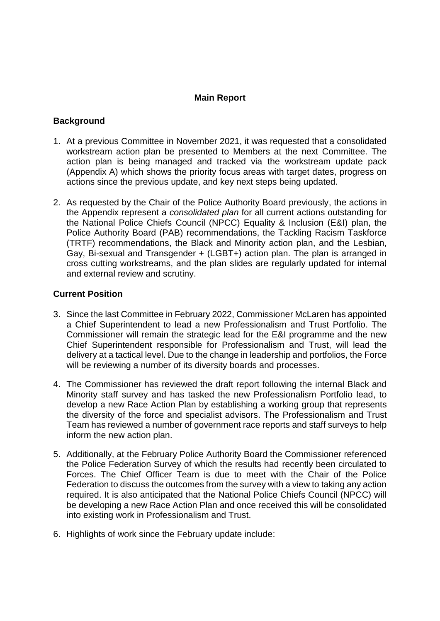#### **Main Report**

#### **Background**

- 1. At a previous Committee in November 2021, it was requested that a consolidated workstream action plan be presented to Members at the next Committee. The action plan is being managed and tracked via the workstream update pack (Appendix A) which shows the priority focus areas with target dates, progress on actions since the previous update, and key next steps being updated.
- 2. As requested by the Chair of the Police Authority Board previously, the actions in the Appendix represent a *consolidated plan* for all current actions outstanding for the National Police Chiefs Council (NPCC) Equality & Inclusion (E&I) plan, the Police Authority Board (PAB) recommendations, the Tackling Racism Taskforce (TRTF) recommendations, the Black and Minority action plan, and the Lesbian, Gay, Bi-sexual and Transgender + (LGBT+) action plan. The plan is arranged in cross cutting workstreams, and the plan slides are regularly updated for internal and external review and scrutiny.

### **Current Position**

- 3. Since the last Committee in February 2022, Commissioner McLaren has appointed a Chief Superintendent to lead a new Professionalism and Trust Portfolio. The Commissioner will remain the strategic lead for the E&I programme and the new Chief Superintendent responsible for Professionalism and Trust, will lead the delivery at a tactical level. Due to the change in leadership and portfolios, the Force will be reviewing a number of its diversity boards and processes.
- 4. The Commissioner has reviewed the draft report following the internal Black and Minority staff survey and has tasked the new Professionalism Portfolio lead, to develop a new Race Action Plan by establishing a working group that represents the diversity of the force and specialist advisors. The Professionalism and Trust Team has reviewed a number of government race reports and staff surveys to help inform the new action plan.
- 5. Additionally, at the February Police Authority Board the Commissioner referenced the Police Federation Survey of which the results had recently been circulated to Forces. The Chief Officer Team is due to meet with the Chair of the Police Federation to discuss the outcomes from the survey with a view to taking any action required. It is also anticipated that the National Police Chiefs Council (NPCC) will be developing a new Race Action Plan and once received this will be consolidated into existing work in Professionalism and Trust.
- 6. Highlights of work since the February update include: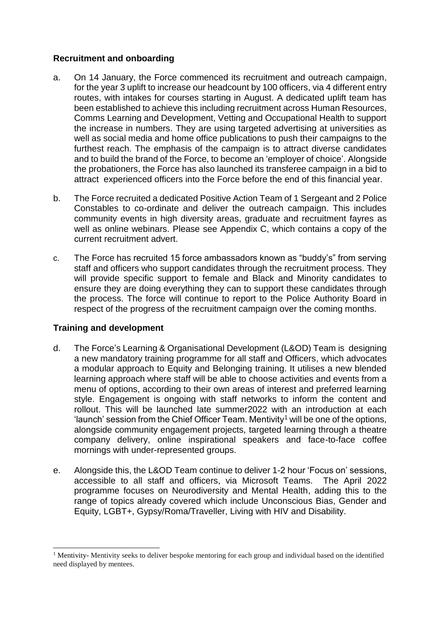## **Recruitment and onboarding**

- a. On 14 January, the Force commenced its recruitment and outreach campaign, for the year 3 uplift to increase our headcount by 100 officers, via 4 different entry routes, with intakes for courses starting in August. A dedicated uplift team has been established to achieve this including recruitment across Human Resources, Comms Learning and Development, Vetting and Occupational Health to support the increase in numbers. They are using targeted advertising at universities as well as social media and home office publications to push their campaigns to the furthest reach. The emphasis of the campaign is to attract diverse candidates and to build the brand of the Force, to become an 'employer of choice'. Alongside the probationers, the Force has also launched its transferee campaign in a bid to attract experienced officers into the Force before the end of this financial year.
- b. The Force recruited a dedicated Positive Action Team of 1 Sergeant and 2 Police Constables to co-ordinate and deliver the outreach campaign. This includes community events in high diversity areas, graduate and recruitment fayres as well as online webinars. Please see Appendix C, which contains a copy of the current recruitment advert.
- c. The Force has recruited 15 force ambassadors known as "buddy's" from serving staff and officers who support candidates through the recruitment process. They will provide specific support to female and Black and Minority candidates to ensure they are doing everything they can to support these candidates through the process. The force will continue to report to the Police Authority Board in respect of the progress of the recruitment campaign over the coming months.

# **Training and development**

-

- d. The Force's Learning & Organisational Development (L&OD) Team is designing a new mandatory training programme for all staff and Officers, which advocates a modular approach to Equity and Belonging training. It utilises a new blended learning approach where staff will be able to choose activities and events from a menu of options, according to their own areas of interest and preferred learning style. Engagement is ongoing with staff networks to inform the content and rollout. This will be launched late summer2022 with an introduction at each 'launch' session from the Chief Officer Team. Mentivity<sup>1</sup> will be one of the options, alongside community engagement projects, targeted learning through a theatre company delivery, online inspirational speakers and face-to-face coffee mornings with under-represented groups.
- e. Alongside this, the L&OD Team continue to deliver 1-2 hour 'Focus on' sessions, accessible to all staff and officers, via Microsoft Teams. The April 2022 programme focuses on Neurodiversity and Mental Health, adding this to the range of topics already covered which include Unconscious Bias, Gender and Equity, LGBT+, Gypsy/Roma/Traveller, Living with HIV and Disability.

<sup>&</sup>lt;sup>1</sup> Mentivity- Mentivity seeks to deliver bespoke mentoring for each group and individual based on the identified need displayed by mentees.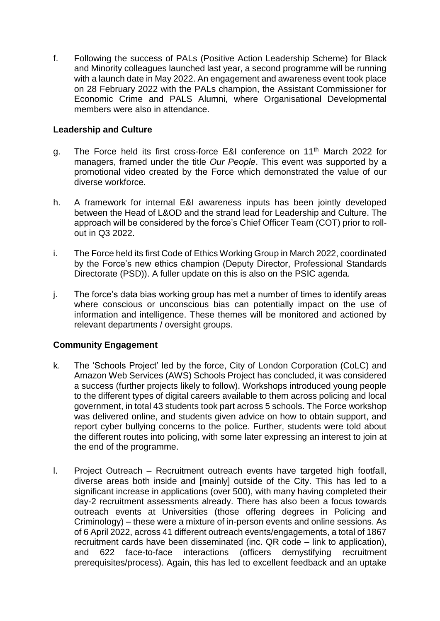f. Following the success of PALs (Positive Action Leadership Scheme) for Black and Minority colleagues launched last year, a second programme will be running with a launch date in May 2022. An engagement and awareness event took place on 28 February 2022 with the PALs champion, the Assistant Commissioner for Economic Crime and PALS Alumni, where Organisational Developmental members were also in attendance.

## **Leadership and Culture**

- g. The Force held its first cross-force E&I conference on 11th March 2022 for managers, framed under the title *Our People*. This event was supported by a promotional video created by the Force which demonstrated the value of our diverse workforce.
- h. A framework for internal E&I awareness inputs has been jointly developed between the Head of L&OD and the strand lead for Leadership and Culture. The approach will be considered by the force's Chief Officer Team (COT) prior to rollout in Q3 2022.
- i. The Force held its first Code of Ethics Working Group in March 2022, coordinated by the Force's new ethics champion (Deputy Director, Professional Standards Directorate (PSD)). A fuller update on this is also on the PSIC agenda.
- j. The force's data bias working group has met a number of times to identify areas where conscious or unconscious bias can potentially impact on the use of information and intelligence. These themes will be monitored and actioned by relevant departments / oversight groups.

# **Community Engagement**

- k. The 'Schools Project' led by the force, City of London Corporation (CoLC) and Amazon Web Services (AWS) Schools Project has concluded, it was considered a success (further projects likely to follow). Workshops introduced young people to the different types of digital careers available to them across policing and local government, in total 43 students took part across 5 schools. The Force workshop was delivered online, and students given advice on how to obtain support, and report cyber bullying concerns to the police. Further, students were told about the different routes into policing, with some later expressing an interest to join at the end of the programme.
- l. Project Outreach Recruitment outreach events have targeted high footfall, diverse areas both inside and [mainly] outside of the City. This has led to a significant increase in applications (over 500), with many having completed their day-2 recruitment assessments already. There has also been a focus towards outreach events at Universities (those offering degrees in Policing and Criminology) – these were a mixture of in-person events and online sessions. As of 6 April 2022, across 41 different outreach events/engagements, a total of 1867 recruitment cards have been disseminated (inc. QR code – link to application), and 622 face-to-face interactions (officers demystifying recruitment prerequisites/process). Again, this has led to excellent feedback and an uptake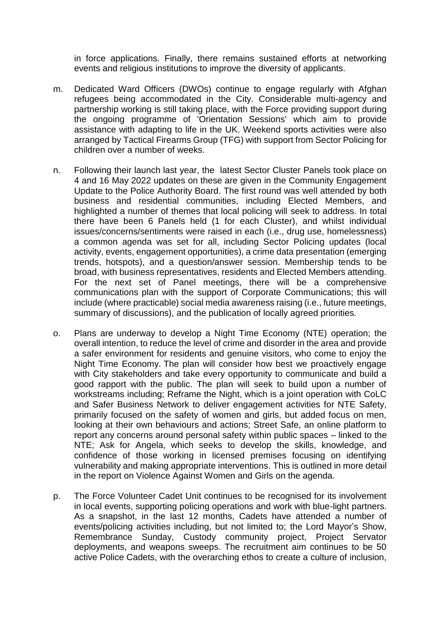in force applications. Finally, there remains sustained efforts at networking events and religious institutions to improve the diversity of applicants.

- m. Dedicated Ward Officers (DWOs) continue to engage regularly with Afghan refugees being accommodated in the City. Considerable multi-agency and partnership working is still taking place, with the Force providing support during the ongoing programme of 'Orientation Sessions' which aim to provide assistance with adapting to life in the UK. Weekend sports activities were also arranged by Tactical Firearms Group (TFG) with support from Sector Policing for children over a number of weeks.
- n. Following their launch last year, the latest Sector Cluster Panels took place on 4 and 16 May 2022 updates on these are given in the Community Engagement Update to the Police Authority Board. The first round was well attended by both business and residential communities, including Elected Members, and highlighted a number of themes that local policing will seek to address. In total there have been 6 Panels held (1 for each Cluster), and whilst individual issues/concerns/sentiments were raised in each (i.e., drug use, homelessness) a common agenda was set for all, including Sector Policing updates (local activity, events, engagement opportunities), a crime data presentation (emerging trends, hotspots), and a question/answer session. Membership tends to be broad, with business representatives, residents and Elected Members attending. For the next set of Panel meetings, there will be a comprehensive communications plan with the support of Corporate Communications; this will include (where practicable) social media awareness raising (i.e., future meetings, summary of discussions), and the publication of locally agreed priorities.
- o. Plans are underway to develop a Night Time Economy (NTE) operation; the overall intention, to reduce the level of crime and disorder in the area and provide a safer environment for residents and genuine visitors, who come to enjoy the Night Time Economy. The plan will consider how best we proactively engage with City stakeholders and take every opportunity to communicate and build a good rapport with the public. The plan will seek to build upon a number of workstreams including; Reframe the Night, which is a joint operation with CoLC and Safer Business Network to deliver engagement activities for NTE Safety, primarily focused on the safety of women and girls, but added focus on men, looking at their own behaviours and actions; Street Safe, an online platform to report any concerns around personal safety within public spaces – linked to the NTE; Ask for Angela, which seeks to develop the skills, knowledge, and confidence of those working in licensed premises focusing on identifying vulnerability and making appropriate interventions. This is outlined in more detail in the report on Violence Against Women and Girls on the agenda.
- p. The Force Volunteer Cadet Unit continues to be recognised for its involvement in local events, supporting policing operations and work with blue-light partners. As a snapshot, in the last 12 months, Cadets have attended a number of events/policing activities including, but not limited to; the Lord Mayor's Show, Remembrance Sunday, Custody community project, Project Servator deployments, and weapons sweeps. The recruitment aim continues to be 50 active Police Cadets, with the overarching ethos to create a culture of inclusion,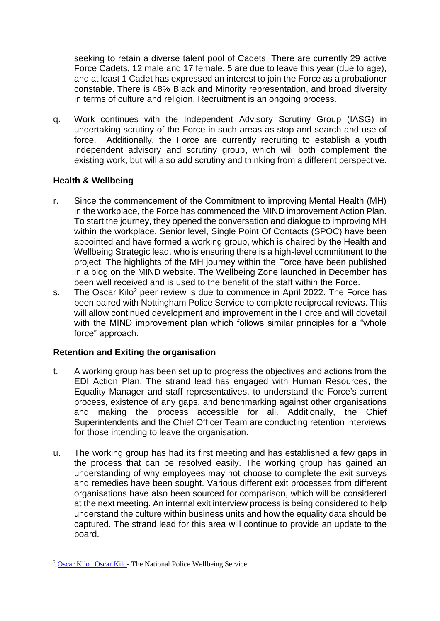seeking to retain a diverse talent pool of Cadets. There are currently 29 active Force Cadets, 12 male and 17 female. 5 are due to leave this year (due to age), and at least 1 Cadet has expressed an interest to join the Force as a probationer constable. There is 48% Black and Minority representation, and broad diversity in terms of culture and religion. Recruitment is an ongoing process.

q. Work continues with the Independent Advisory Scrutiny Group (IASG) in undertaking scrutiny of the Force in such areas as stop and search and use of force. Additionally, the Force are currently recruiting to establish a youth independent advisory and scrutiny group, which will both complement the existing work, but will also add scrutiny and thinking from a different perspective.

# **Health & Wellbeing**

- r. Since the commencement of the Commitment to improving Mental Health (MH) in the workplace, the Force has commenced the MIND improvement Action Plan. To start the journey, they opened the conversation and dialogue to improving MH within the workplace. Senior level, Single Point Of Contacts (SPOC) have been appointed and have formed a working group, which is chaired by the Health and Wellbeing Strategic lead, who is ensuring there is a high-level commitment to the project. The highlights of the MH journey within the Force have been published in a blog on the MIND website. The Wellbeing Zone launched in December has been well received and is used to the benefit of the staff within the Force.
- s. The Oscar Kilo<sup>2</sup> peer review is due to commence in April 2022. The Force has been paired with Nottingham Police Service to complete reciprocal reviews. This will allow continued development and improvement in the Force and will dovetail with the MIND improvement plan which follows similar principles for a "whole" force" approach.

# **Retention and Exiting the organisation**

- t. A working group has been set up to progress the objectives and actions from the EDI Action Plan. The strand lead has engaged with Human Resources, the Equality Manager and staff representatives, to understand the Force's current process, existence of any gaps, and benchmarking against other organisations and making the process accessible for all. Additionally, the Chief Superintendents and the Chief Officer Team are conducting retention interviews for those intending to leave the organisation.
- u. The working group has had its first meeting and has established a few gaps in the process that can be resolved easily. The working group has gained an understanding of why employees may not choose to complete the exit surveys and remedies have been sought. Various different exit processes from different organisations have also been sourced for comparison, which will be considered at the next meeting. An internal exit interview process is being considered to help understand the culture within business units and how the equality data should be captured. The strand lead for this area will continue to provide an update to the board.

 $\overline{a}$ <sup>2</sup> [Oscar Kilo | Oscar Kilo-](https://www.oscarkilo.org.uk/) The National Police Wellbeing Service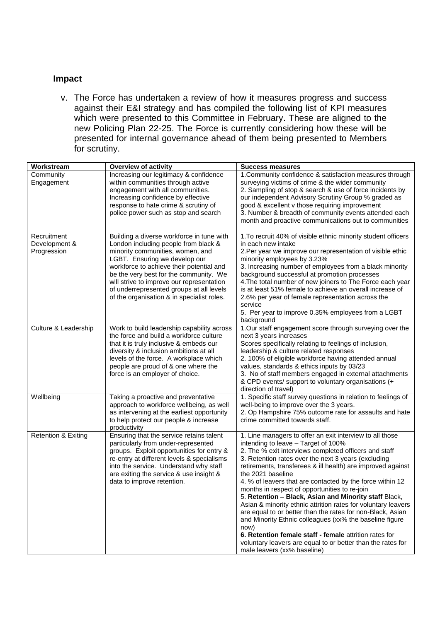#### **Impact**

v. The Force has undertaken a review of how it measures progress and success against their E&I strategy and has compiled the following list of KPI measures which were presented to this Committee in February. These are aligned to the new Policing Plan 22-25. The Force is currently considering how these will be presented for internal governance ahead of them being presented to Members for scrutiny.

| Workstream                                  | <b>Overview of activity</b>                                                                                                                                                                                                                                                                                                                                                         | <b>Success measures</b>                                                                                                                                                                                                                                                                                                                                                                                                                                                                                                                                                                                                                                                                                                                                                                                                              |
|---------------------------------------------|-------------------------------------------------------------------------------------------------------------------------------------------------------------------------------------------------------------------------------------------------------------------------------------------------------------------------------------------------------------------------------------|--------------------------------------------------------------------------------------------------------------------------------------------------------------------------------------------------------------------------------------------------------------------------------------------------------------------------------------------------------------------------------------------------------------------------------------------------------------------------------------------------------------------------------------------------------------------------------------------------------------------------------------------------------------------------------------------------------------------------------------------------------------------------------------------------------------------------------------|
| Community<br>Engagement                     | Increasing our legitimacy & confidence<br>within communities through active<br>engagement with all communities.<br>Increasing confidence by effective<br>response to hate crime & scrutiny of<br>police power such as stop and search                                                                                                                                               | 1. Community confidence & satisfaction measures through<br>surveying victims of crime & the wider community<br>2. Sampling of stop & search & use of force incidents by<br>our independent Advisory Scrutiny Group % graded as<br>good & excellent v those requiring improvement<br>3. Number & breadth of community events attended each<br>month and proactive communications out to communities                                                                                                                                                                                                                                                                                                                                                                                                                                   |
| Recruitment<br>Development &<br>Progression | Building a diverse workforce in tune with<br>London including people from black &<br>minority communities, women, and<br>LGBT. Ensuring we develop our<br>workforce to achieve their potential and<br>be the very best for the community. We<br>will strive to improve our representation<br>of underrepresented groups at all levels<br>of the organisation & in specialist roles. | 1. To recruit 40% of visible ethnic minority student officers<br>in each new intake<br>2. Per year we improve our representation of visible ethic<br>minority employees by 3.23%<br>3. Increasing number of employees from a black minority<br>background successful at promotion processes<br>4. The total number of new joiners to The Force each year<br>is at least 51% female to achieve an overall increase of<br>2.6% per year of female representation across the<br>service<br>5. Per year to improve 0.35% employees from a LGBT<br>background                                                                                                                                                                                                                                                                             |
| Culture & Leadership                        | Work to build leadership capability across<br>the force and build a workforce culture<br>that it is truly inclusive & embeds our<br>diversity & inclusion ambitions at all<br>levels of the force. A workplace which<br>people are proud of & one where the<br>force is an employer of choice.                                                                                      | 1.Our staff engagement score through surveying over the<br>next 3 years increases<br>Scores specifically relating to feelings of inclusion,<br>leadership & culture related responses<br>2. 100% of eligible workforce having attended annual<br>values, standards & ethics inputs by 03/23<br>3. No of staff members engaged in external attachments<br>& CPD events/ support to voluntary organisations (+<br>direction of travel)                                                                                                                                                                                                                                                                                                                                                                                                 |
| Wellbeing                                   | Taking a proactive and preventative<br>approach to workforce wellbeing, as well<br>as intervening at the earliest opportunity<br>to help protect our people & increase<br>productivity                                                                                                                                                                                              | 1. Specific staff survey questions in relation to feelings of<br>well-being to improve over the 3 years.<br>2. Op Hampshire 75% outcome rate for assaults and hate<br>crime committed towards staff.                                                                                                                                                                                                                                                                                                                                                                                                                                                                                                                                                                                                                                 |
| <b>Retention &amp; Exiting</b>              | Ensuring that the service retains talent<br>particularly from under-represented<br>groups. Exploit opportunities for entry &<br>re-entry at different levels & specialisms<br>into the service. Understand why staff<br>are exiting the service & use insight &<br>data to improve retention.                                                                                       | 1. Line managers to offer an exit interview to all those<br>intending to leave - Target of 100%<br>2. The % exit interviews completed officers and staff<br>3. Retention rates over the next 3 years (excluding<br>retirements, transferees & ill health) are improved against<br>the 2021 baseline<br>4. % of leavers that are contacted by the force within 12<br>months in respect of opportunities to re-join<br>5. Retention - Black, Asian and Minority staff Black,<br>Asian & minority ethnic attrition rates for voluntary leavers<br>are equal to or better than the rates for non-Black, Asian<br>and Minority Ethnic colleagues (xx% the baseline figure<br>now)<br>6. Retention female staff - female attrition rates for<br>voluntary leavers are equal to or better than the rates for<br>male leavers (xx% baseline) |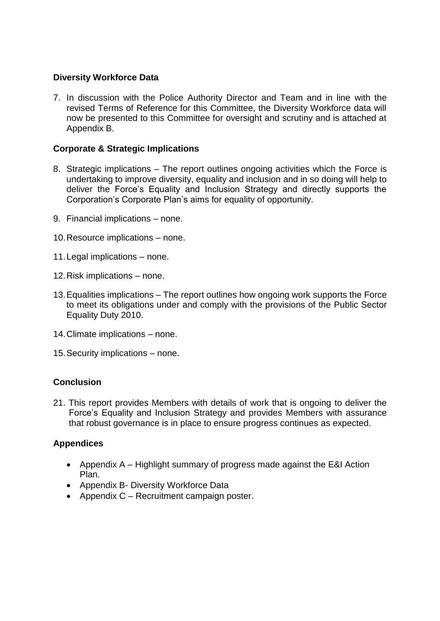### **Diversity Workforce Data**

7. In discussion with the Police Authority Director and Team and in line with the revised Terms of Reference for this Committee, the Diversity Workforce data will now be presented to this Committee for oversight and scrutiny and is attached at Appendix B.

### **Corporate & Strategic Implications**

- 8. Strategic implications The report outlines ongoing activities which the Force is undertaking to improve diversity, equality and inclusion and in so doing will help to deliver the Force's Equality and Inclusion Strategy and directly supports the Corporation's Corporate Plan's aims for equality of opportunity.
- 9. Financial implications none.
- 10.Resource implications none.
- 11.Legal implications none.
- 12.Risk implications none.
- 13.Equalities implications The report outlines how ongoing work supports the Force to meet its obligations under and comply with the provisions of the Public Sector Equality Duty 2010.
- 14.Climate implications none.
- 15.Security implications none.

#### **Conclusion**

21. This report provides Members with details of work that is ongoing to deliver the Force's Equality and Inclusion Strategy and provides Members with assurance that robust governance is in place to ensure progress continues as expected.

#### **Appendices**

- Appendix A Highlight summary of progress made against the E&I Action Plan.
- Appendix B- Diversity Workforce Data
- Appendix C Recruitment campaign poster.